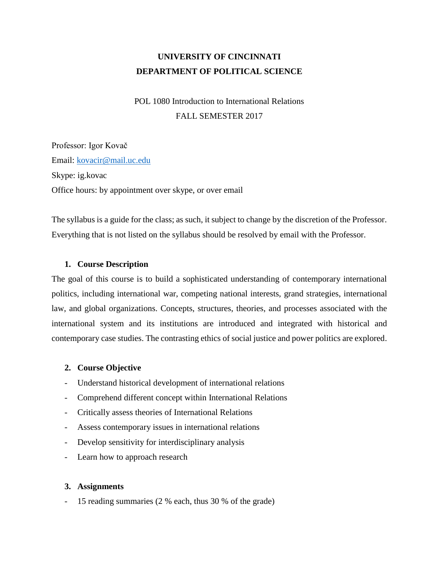# **UNIVERSITY OF CINCINNATI DEPARTMENT OF POLITICAL SCIENCE**

POL 1080 Introduction to International Relations FALL SEMESTER 2017

Professor: Igor Kovač Email: [kovacir@mail.uc.edu](mailto:kovacir@mail.uc.edu) Skype: ig.kovac Office hours: by appointment over skype, or over email

The syllabus is a guide for the class; as such, it subject to change by the discretion of the Professor. Everything that is not listed on the syllabus should be resolved by email with the Professor.

#### **1. Course Description**

The goal of this course is to build a sophisticated understanding of contemporary international politics, including international war, competing national interests, grand strategies, international law, and global organizations. Concepts, structures, theories, and processes associated with the international system and its institutions are introduced and integrated with historical and contemporary case studies. The contrasting ethics of social justice and power politics are explored.

#### **2. Course Objective**

- Understand historical development of international relations
- Comprehend different concept within International Relations
- Critically assess theories of International Relations
- Assess contemporary issues in international relations
- Develop sensitivity for interdisciplinary analysis
- Learn how to approach research

#### **3. Assignments**

- 15 reading summaries (2 % each, thus 30 % of the grade)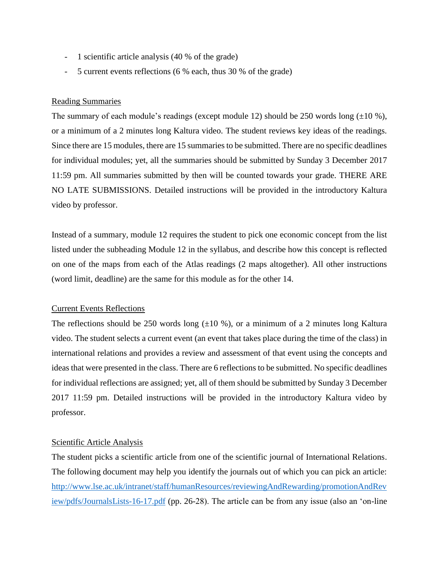- 1 scientific article analysis (40 % of the grade)
- 5 current events reflections (6 % each, thus 30 % of the grade)

#### Reading Summaries

The summary of each module's readings (except module 12) should be 250 words long  $(\pm 10 \%)$ , or a minimum of a 2 minutes long Kaltura video. The student reviews key ideas of the readings. Since there are 15 modules, there are 15 summaries to be submitted. There are no specific deadlines for individual modules; yet, all the summaries should be submitted by Sunday 3 December 2017 11:59 pm. All summaries submitted by then will be counted towards your grade. THERE ARE NO LATE SUBMISSIONS. Detailed instructions will be provided in the introductory Kaltura video by professor.

Instead of a summary, module 12 requires the student to pick one economic concept from the list listed under the subheading Module 12 in the syllabus, and describe how this concept is reflected on one of the maps from each of the Atlas readings (2 maps altogether). All other instructions (word limit, deadline) are the same for this module as for the other 14.

#### Current Events Reflections

The reflections should be 250 words long  $(\pm 10 \%)$ , or a minimum of a 2 minutes long Kaltura video. The student selects a current event (an event that takes place during the time of the class) in international relations and provides a review and assessment of that event using the concepts and ideas that were presented in the class. There are 6 reflections to be submitted. No specific deadlines for individual reflections are assigned; yet, all of them should be submitted by Sunday 3 December 2017 11:59 pm. Detailed instructions will be provided in the introductory Kaltura video by professor.

### Scientific Article Analysis

The student picks a scientific article from one of the scientific journal of International Relations. The following document may help you identify the journals out of which you can pick an article: [http://www.lse.ac.uk/intranet/staff/humanResources/reviewingAndRewarding/promotionAndRev](http://www.lse.ac.uk/intranet/staff/humanResources/reviewingAndRewarding/promotionAndReview/pdfs/JournalsLists-16-17.pdf) [iew/pdfs/JournalsLists-16-17.pdf](http://www.lse.ac.uk/intranet/staff/humanResources/reviewingAndRewarding/promotionAndReview/pdfs/JournalsLists-16-17.pdf) (pp. 26-28). The article can be from any issue (also an 'on-line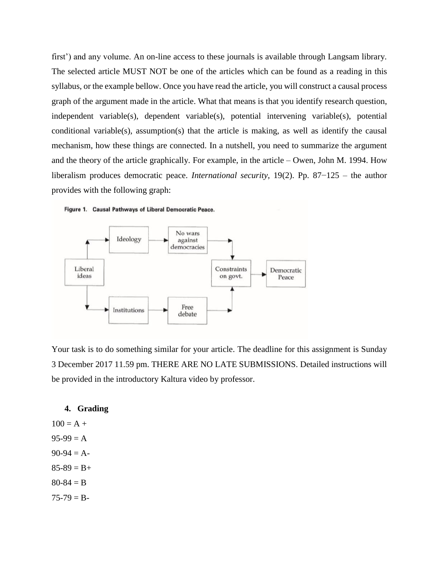first') and any volume. An on-line access to these journals is available through Langsam library. The selected article MUST NOT be one of the articles which can be found as a reading in this syllabus, or the example bellow. Once you have read the article, you will construct a causal process graph of the argument made in the article. What that means is that you identify research question, independent variable(s), dependent variable(s), potential intervening variable(s), potential conditional variable(s), assumption(s) that the article is making, as well as identify the causal mechanism, how these things are connected. In a nutshell, you need to summarize the argument and the theory of the article graphically. For example, in the article – Owen, John M. 1994. How liberalism produces democratic peace. *International security*, 19(2). Pp. 87−125 – the author provides with the following graph:





Your task is to do something similar for your article. The deadline for this assignment is Sunday 3 December 2017 11.59 pm. THERE ARE NO LATE SUBMISSIONS. Detailed instructions will be provided in the introductory Kaltura video by professor.

#### **4. Grading**

 $100 = A +$  $95-99 = A$  $90-94 = A$  $85-89 = B+$  $80 - 84 = B$  $75-79 = B -$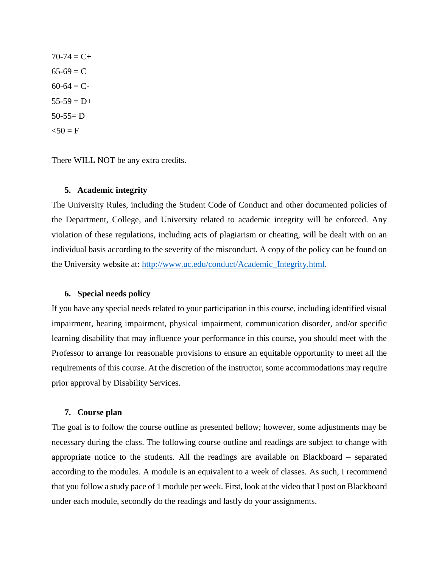$70-74 = C+$  $65-69 = C$  $60-64 = C$  $55-59 = D+$  $50-55= D$  $50 = F$ 

There WILL NOT be any extra credits.

#### **5. Academic integrity**

The University Rules, including the Student Code of Conduct and other documented policies of the Department, College, and University related to academic integrity will be enforced. Any violation of these regulations, including acts of plagiarism or cheating, will be dealt with on an individual basis according to the severity of the misconduct. A copy of the policy can be found on the University website at: [http://www.uc.edu/conduct/Academic\\_Integrity.html.](http://www.uc.edu/conduct/Academic_Integrity.html)

#### **6. Special needs policy**

If you have any special needs related to your participation in this course, including identified visual impairment, hearing impairment, physical impairment, communication disorder, and/or specific learning disability that may influence your performance in this course, you should meet with the Professor to arrange for reasonable provisions to ensure an equitable opportunity to meet all the requirements of this course. At the discretion of the instructor, some accommodations may require prior approval by Disability Services.

#### **7. Course plan**

The goal is to follow the course outline as presented bellow; however, some adjustments may be necessary during the class. The following course outline and readings are subject to change with appropriate notice to the students. All the readings are available on Blackboard – separated according to the modules. A module is an equivalent to a week of classes. As such, I recommend that you follow a study pace of 1 module per week. First, look at the video that I post on Blackboard under each module, secondly do the readings and lastly do your assignments.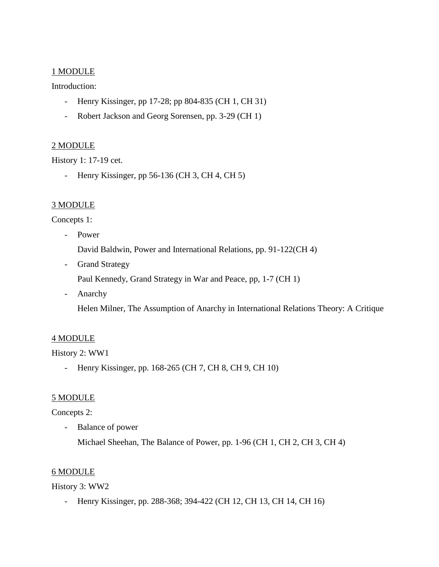### 1 MODULE

### Introduction:

- Henry Kissinger, pp 17-28; pp 804-835 (CH 1, CH 31)
- Robert Jackson and Georg Sorensen, pp. 3-29 (CH 1)

# 2 MODULE

History 1: 17-19 cet.

- Henry Kissinger, pp 56-136 (CH 3, CH 4, CH 5)

# 3 MODULE

### Concepts 1:

- Power

David Baldwin, Power and International Relations, pp. 91-122(CH 4)

- Grand Strategy

Paul Kennedy, Grand Strategy in War and Peace, pp, 1-7 (CH 1)

- Anarchy

Helen Milner, The Assumption of Anarchy in International Relations Theory: A Critique

# 4 MODULE

History 2: WW1

- Henry Kissinger, pp. 168-265 (CH 7, CH 8, CH 9, CH 10)

# 5 MODULE

# Concepts 2:

- Balance of power

Michael Sheehan, The Balance of Power, pp. 1-96 (CH 1, CH 2, CH 3, CH 4)

### 6 MODULE

### History 3: WW2

- Henry Kissinger, pp. 288-368; 394-422 (CH 12, CH 13, CH 14, CH 16)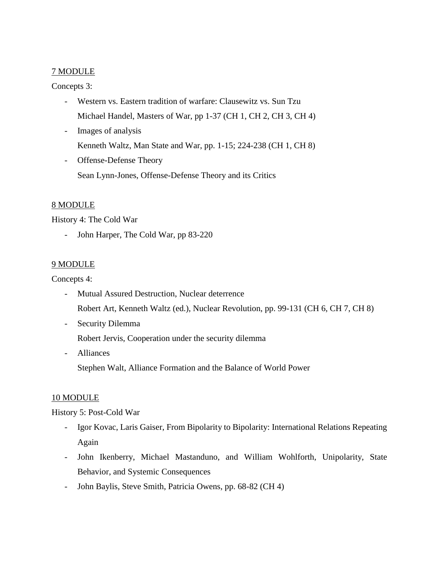### 7 MODULE

### Concepts 3:

- Western vs. Eastern tradition of warfare: Clausewitz vs. Sun Tzu Michael Handel, Masters of War, pp 1-37 (CH 1, CH 2, CH 3, CH 4)
- Images of analysis Kenneth Waltz, Man State and War, pp. 1-15; 224-238 (CH 1, CH 8)
- Offense-Defense Theory Sean Lynn-Jones, Offense-Defense Theory and its Critics

# 8 MODULE

History 4: The Cold War

- John Harper, The Cold War, pp 83-220

# 9 MODULE

Concepts 4:

- Mutual Assured Destruction, Nuclear deterrence Robert Art, Kenneth Waltz (ed.), Nuclear Revolution, pp. 99-131 (CH 6, CH 7, CH 8)
- Security Dilemma

Robert Jervis, Cooperation under the security dilemma

- Alliances

Stephen Walt, Alliance Formation and the Balance of World Power

# 10 MODULE

# History 5: Post-Cold War

- Igor Kovac, Laris Gaiser, From Bipolarity to Bipolarity: International Relations Repeating Again
- John Ikenberry, Michael Mastanduno, and William Wohlforth, Unipolarity, State Behavior, and Systemic Consequences
- John Baylis, Steve Smith, Patricia Owens, pp. 68-82 (CH 4)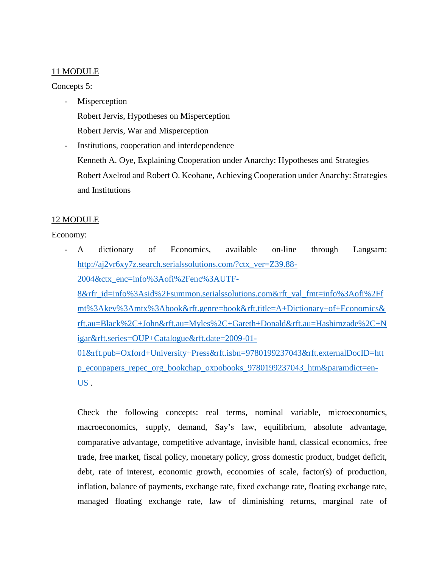### 11 MODULE

### Concepts 5:

- **Misperception** Robert Jervis, Hypotheses on Misperception Robert Jervis, War and Misperception
- Institutions, cooperation and interdependence Kenneth A. Oye, Explaining Cooperation under Anarchy: Hypotheses and Strategies Robert Axelrod and Robert O. Keohane, Achieving Cooperation under Anarchy: Strategies and Institutions

# 12 MODULE

Economy:

- A dictionary of Economics, available on-line through Langsam: [http://aj2vr6xy7z.search.serialssolutions.com/?ctx\\_ver=Z39.88-](http://aj2vr6xy7z.search.serialssolutions.com/?ctx_ver=Z39.88-2004&ctx_enc=info%3Aofi%2Fenc%3AUTF-8&rfr_id=info%3Asid%2Fsummon.serialssolutions.com&rft_val_fmt=info%3Aofi%2Ffmt%3Akev%3Amtx%3Abook&rft.genre=book&rft.title=A+Dictionary+of+Economics&rft.au=Black%2C+John&rft.au=Myles%2C+Gareth+Donald&rft.au=Hashimzade%2C+Nigar&rft.series=OUP+Catalogue&rft.date=2009-01-01&rft.pub=Oxford+University+Press&rft.isbn=9780199237043&rft.externalDocID=http_econpapers_repec_org_bookchap_oxpobooks_9780199237043_htm¶mdict=en-US) [2004&ctx\\_enc=info%3Aofi%2Fenc%3AUTF-](http://aj2vr6xy7z.search.serialssolutions.com/?ctx_ver=Z39.88-2004&ctx_enc=info%3Aofi%2Fenc%3AUTF-8&rfr_id=info%3Asid%2Fsummon.serialssolutions.com&rft_val_fmt=info%3Aofi%2Ffmt%3Akev%3Amtx%3Abook&rft.genre=book&rft.title=A+Dictionary+of+Economics&rft.au=Black%2C+John&rft.au=Myles%2C+Gareth+Donald&rft.au=Hashimzade%2C+Nigar&rft.series=OUP+Catalogue&rft.date=2009-01-01&rft.pub=Oxford+University+Press&rft.isbn=9780199237043&rft.externalDocID=http_econpapers_repec_org_bookchap_oxpobooks_9780199237043_htm¶mdict=en-US)[8&rfr\\_id=info%3Asid%2Fsummon.serialssolutions.com&rft\\_val\\_fmt=info%3Aofi%2Ff](http://aj2vr6xy7z.search.serialssolutions.com/?ctx_ver=Z39.88-2004&ctx_enc=info%3Aofi%2Fenc%3AUTF-8&rfr_id=info%3Asid%2Fsummon.serialssolutions.com&rft_val_fmt=info%3Aofi%2Ffmt%3Akev%3Amtx%3Abook&rft.genre=book&rft.title=A+Dictionary+of+Economics&rft.au=Black%2C+John&rft.au=Myles%2C+Gareth+Donald&rft.au=Hashimzade%2C+Nigar&rft.series=OUP+Catalogue&rft.date=2009-01-01&rft.pub=Oxford+University+Press&rft.isbn=9780199237043&rft.externalDocID=http_econpapers_repec_org_bookchap_oxpobooks_9780199237043_htm¶mdict=en-US) [mt%3Akev%3Amtx%3Abook&rft.genre=book&rft.title=A+Dictionary+of+Economics&](http://aj2vr6xy7z.search.serialssolutions.com/?ctx_ver=Z39.88-2004&ctx_enc=info%3Aofi%2Fenc%3AUTF-8&rfr_id=info%3Asid%2Fsummon.serialssolutions.com&rft_val_fmt=info%3Aofi%2Ffmt%3Akev%3Amtx%3Abook&rft.genre=book&rft.title=A+Dictionary+of+Economics&rft.au=Black%2C+John&rft.au=Myles%2C+Gareth+Donald&rft.au=Hashimzade%2C+Nigar&rft.series=OUP+Catalogue&rft.date=2009-01-01&rft.pub=Oxford+University+Press&rft.isbn=9780199237043&rft.externalDocID=http_econpapers_repec_org_bookchap_oxpobooks_9780199237043_htm¶mdict=en-US) [rft.au=Black%2C+John&rft.au=Myles%2C+Gareth+Donald&rft.au=Hashimzade%2C+N](http://aj2vr6xy7z.search.serialssolutions.com/?ctx_ver=Z39.88-2004&ctx_enc=info%3Aofi%2Fenc%3AUTF-8&rfr_id=info%3Asid%2Fsummon.serialssolutions.com&rft_val_fmt=info%3Aofi%2Ffmt%3Akev%3Amtx%3Abook&rft.genre=book&rft.title=A+Dictionary+of+Economics&rft.au=Black%2C+John&rft.au=Myles%2C+Gareth+Donald&rft.au=Hashimzade%2C+Nigar&rft.series=OUP+Catalogue&rft.date=2009-01-01&rft.pub=Oxford+University+Press&rft.isbn=9780199237043&rft.externalDocID=http_econpapers_repec_org_bookchap_oxpobooks_9780199237043_htm¶mdict=en-US) [igar&rft.series=OUP+Catalogue&rft.date=2009-01-](http://aj2vr6xy7z.search.serialssolutions.com/?ctx_ver=Z39.88-2004&ctx_enc=info%3Aofi%2Fenc%3AUTF-8&rfr_id=info%3Asid%2Fsummon.serialssolutions.com&rft_val_fmt=info%3Aofi%2Ffmt%3Akev%3Amtx%3Abook&rft.genre=book&rft.title=A+Dictionary+of+Economics&rft.au=Black%2C+John&rft.au=Myles%2C+Gareth+Donald&rft.au=Hashimzade%2C+Nigar&rft.series=OUP+Catalogue&rft.date=2009-01-01&rft.pub=Oxford+University+Press&rft.isbn=9780199237043&rft.externalDocID=http_econpapers_repec_org_bookchap_oxpobooks_9780199237043_htm¶mdict=en-US) [01&rft.pub=Oxford+University+Press&rft.isbn=9780199237043&rft.externalDocID=htt](http://aj2vr6xy7z.search.serialssolutions.com/?ctx_ver=Z39.88-2004&ctx_enc=info%3Aofi%2Fenc%3AUTF-8&rfr_id=info%3Asid%2Fsummon.serialssolutions.com&rft_val_fmt=info%3Aofi%2Ffmt%3Akev%3Amtx%3Abook&rft.genre=book&rft.title=A+Dictionary+of+Economics&rft.au=Black%2C+John&rft.au=Myles%2C+Gareth+Donald&rft.au=Hashimzade%2C+Nigar&rft.series=OUP+Catalogue&rft.date=2009-01-01&rft.pub=Oxford+University+Press&rft.isbn=9780199237043&rft.externalDocID=http_econpapers_repec_org_bookchap_oxpobooks_9780199237043_htm¶mdict=en-US) [p\\_econpapers\\_repec\\_org\\_bookchap\\_oxpobooks\\_9780199237043\\_htm&paramdict=en-](http://aj2vr6xy7z.search.serialssolutions.com/?ctx_ver=Z39.88-2004&ctx_enc=info%3Aofi%2Fenc%3AUTF-8&rfr_id=info%3Asid%2Fsummon.serialssolutions.com&rft_val_fmt=info%3Aofi%2Ffmt%3Akev%3Amtx%3Abook&rft.genre=book&rft.title=A+Dictionary+of+Economics&rft.au=Black%2C+John&rft.au=Myles%2C+Gareth+Donald&rft.au=Hashimzade%2C+Nigar&rft.series=OUP+Catalogue&rft.date=2009-01-01&rft.pub=Oxford+University+Press&rft.isbn=9780199237043&rft.externalDocID=http_econpapers_repec_org_bookchap_oxpobooks_9780199237043_htm¶mdict=en-US)[US](http://aj2vr6xy7z.search.serialssolutions.com/?ctx_ver=Z39.88-2004&ctx_enc=info%3Aofi%2Fenc%3AUTF-8&rfr_id=info%3Asid%2Fsummon.serialssolutions.com&rft_val_fmt=info%3Aofi%2Ffmt%3Akev%3Amtx%3Abook&rft.genre=book&rft.title=A+Dictionary+of+Economics&rft.au=Black%2C+John&rft.au=Myles%2C+Gareth+Donald&rft.au=Hashimzade%2C+Nigar&rft.series=OUP+Catalogue&rft.date=2009-01-01&rft.pub=Oxford+University+Press&rft.isbn=9780199237043&rft.externalDocID=http_econpapers_repec_org_bookchap_oxpobooks_9780199237043_htm¶mdict=en-US) .

Check the following concepts: real terms, nominal variable, microeconomics, macroeconomics, supply, demand, Say's law, equilibrium, absolute advantage, comparative advantage, competitive advantage, invisible hand, classical economics, free trade, free market, fiscal policy, monetary policy, gross domestic product, budget deficit, debt, rate of interest, economic growth, economies of scale, factor(s) of production, inflation, balance of payments, exchange rate, fixed exchange rate, floating exchange rate, managed floating exchange rate, law of diminishing returns, marginal rate of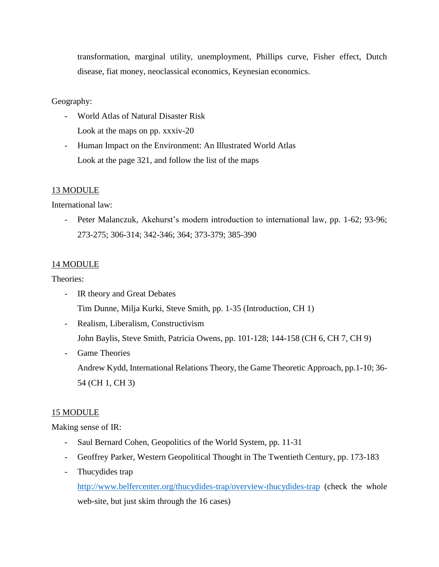transformation, marginal utility, unemployment, Phillips curve, Fisher effect, Dutch disease, fiat money, neoclassical economics, Keynesian economics.

### Geography:

- World Atlas of Natural Disaster Risk Look at the maps on pp. xxxiv-20
- Human Impact on the Environment: An Illustrated World Atlas Look at the page 321, and follow the list of the maps

### 13 MODULE

International law:

- Peter Malanczuk, Akehurst's modern introduction to international law, pp. 1-62; 93-96; 273-275; 306-314; 342-346; 364; 373-379; 385-390

# 14 MODULE

Theories:

- IR theory and Great Debates Tim Dunne, Milja Kurki, Steve Smith, pp. 1-35 (Introduction, CH 1)
- Realism, Liberalism, Constructivism John Baylis, Steve Smith, Patricia Owens, pp. 101-128; 144-158 (CH 6, CH 7, CH 9)
- Game Theories

Andrew Kydd, International Relations Theory, the Game Theoretic Approach, pp.1-10; 36- 54 (CH 1, CH 3)

# 15 MODULE

Making sense of IR:

- Saul Bernard Cohen, Geopolitics of the World System, pp. 11-31
- Geoffrey Parker, Western Geopolitical Thought in The Twentieth Century, pp. 173-183
- Thucydides trap

<http://www.belfercenter.org/thucydides-trap/overview-thucydides-trap> (check the whole web-site, but just skim through the 16 cases)